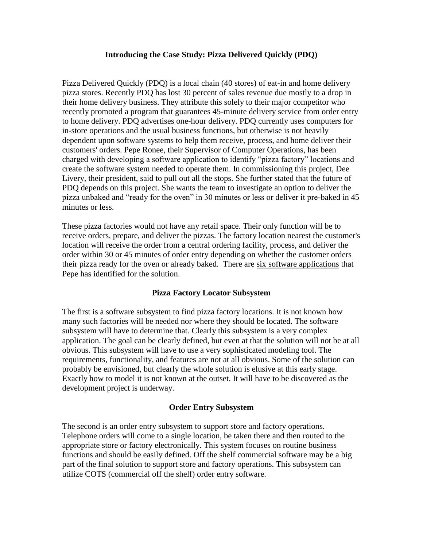## **Introducing the Case Study: Pizza Delivered Quickly (PDQ)**

Pizza Delivered Quickly (PDQ) is a local chain (40 stores) of eat-in and home delivery pizza stores. Recently PDQ has lost 30 percent of sales revenue due mostly to a drop in their home delivery business. They attribute this solely to their major competitor who recently promoted a program that guarantees 45-minute delivery service from order entry to home delivery. PDQ advertises one-hour delivery. PDQ currently uses computers for in-store operations and the usual business functions, but otherwise is not heavily dependent upon software systems to help them receive, process, and home deliver their customers' orders. Pepe Ronee, their Supervisor of Computer Operations, has been charged with developing a software application to identify "pizza factory" locations and create the software system needed to operate them. In commissioning this project, Dee Livery, their president, said to pull out all the stops. She further stated that the future of PDQ depends on this project. She wants the team to investigate an option to deliver the pizza unbaked and "ready for the oven" in 30 minutes or less or deliver it pre-baked in 45 minutes or less.

These pizza factories would not have any retail space. Their only function will be to receive orders, prepare, and deliver the pizzas. The factory location nearest the customer's location will receive the order from a central ordering facility, process, and deliver the order within 30 or 45 minutes of order entry depending on whether the customer orders their pizza ready for the oven or already baked. There are six software applications that Pepe has identified for the solution.

# **Pizza Factory Locator Subsystem**

The first is a software subsystem to find pizza factory locations. It is not known how many such factories will be needed nor where they should be located. The software subsystem will have to determine that. Clearly this subsystem is a very complex application. The goal can be clearly defined, but even at that the solution will not be at all obvious. This subsystem will have to use a very sophisticated modeling tool. The requirements, functionality, and features are not at all obvious. Some of the solution can probably be envisioned, but clearly the whole solution is elusive at this early stage. Exactly how to model it is not known at the outset. It will have to be discovered as the development project is underway.

# **Order Entry Subsystem**

The second is an order entry subsystem to support store and factory operations. Telephone orders will come to a single location, be taken there and then routed to the appropriate store or factory electronically. This system focuses on routine business functions and should be easily defined. Off the shelf commercial software may be a big part of the final solution to support store and factory operations. This subsystem can utilize COTS (commercial off the shelf) order entry software.